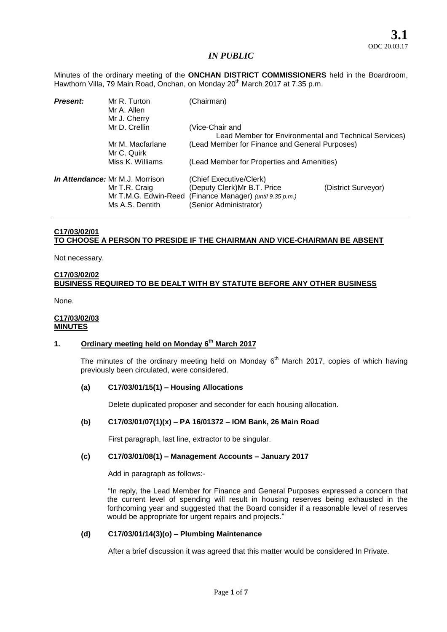Minutes of the ordinary meeting of the **ONCHAN DISTRICT COMMISSIONERS** held in the Boardroom, Hawthorn Villa, 79 Main Road, Onchan, on Monday 20<sup>th</sup> March 2017 at 7.35 p.m.

| <b>Present:</b> | Mr R. Turton<br>Mr A. Allen<br>Mr J. Cherry                                                 | (Chairman)                                                                                                               |                     |
|-----------------|---------------------------------------------------------------------------------------------|--------------------------------------------------------------------------------------------------------------------------|---------------------|
|                 | Mr D. Crellin                                                                               | (Vice-Chair and                                                                                                          |                     |
|                 |                                                                                             | Lead Member for Environmental and Technical Services)                                                                    |                     |
|                 | Mr M. Macfarlane<br>Mr C. Quirk                                                             | (Lead Member for Finance and General Purposes)                                                                           |                     |
|                 | Miss K. Williams                                                                            | (Lead Member for Properties and Amenities)                                                                               |                     |
|                 | In Attendance: Mr M.J. Morrison<br>Mr T.R. Craig<br>Mr T.M.G. Edwin-Reed<br>Ms A.S. Dentith | (Chief Executive/Clerk)<br>(Deputy Clerk) Mr B.T. Price<br>(Finance Manager) (until 9.35 p.m.)<br>(Senior Administrator) | (District Surveyor) |

## **C17/03/02/01 TO CHOOSE A PERSON TO PRESIDE IF THE CHAIRMAN AND VICE-CHAIRMAN BE ABSENT**

Not necessary.

## **C17/03/02/02 BUSINESS REQUIRED TO BE DEALT WITH BY STATUTE BEFORE ANY OTHER BUSINESS**

None.

#### **C17/03/02/03 MINUTES**

## **1. Ordinary meeting held on Monday 6 th March 2017**

The minutes of the ordinary meeting held on Monday  $6<sup>th</sup>$  March 2017, copies of which having previously been circulated, were considered.

## **(a) C17/03/01/15(1) – Housing Allocations**

Delete duplicated proposer and seconder for each housing allocation.

#### **(b) C17/03/01/07(1)(x) – PA 16/01372 – IOM Bank, 26 Main Road**

First paragraph, last line, extractor to be singular.

## **(c) C17/03/01/08(1) – Management Accounts – January 2017**

Add in paragraph as follows:-

"In reply, the Lead Member for Finance and General Purposes expressed a concern that the current level of spending will result in housing reserves being exhausted in the forthcoming year and suggested that the Board consider if a reasonable level of reserves would be appropriate for urgent repairs and projects."

#### **(d) C17/03/01/14(3)(o) – Plumbing Maintenance**

After a brief discussion it was agreed that this matter would be considered In Private.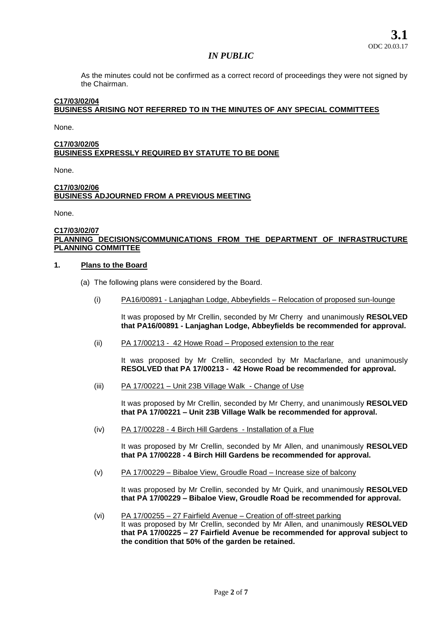As the minutes could not be confirmed as a correct record of proceedings they were not signed by the Chairman.

### **C17/03/02/04 BUSINESS ARISING NOT REFERRED TO IN THE MINUTES OF ANY SPECIAL COMMITTEES**

None.

## **C17/03/02/05 BUSINESS EXPRESSLY REQUIRED BY STATUTE TO BE DONE**

None.

## **C17/03/02/06 BUSINESS ADJOURNED FROM A PREVIOUS MEETING**

None.

#### **C17/03/02/07 PLANNING DECISIONS/COMMUNICATIONS FROM THE DEPARTMENT OF INFRASTRUCTURE PLANNING COMMITTEE**

#### **1. Plans to the Board**

- (a) The following plans were considered by the Board.
	- (i) PA16/00891 Lanjaghan Lodge, Abbeyfields Relocation of proposed sun-lounge

It was proposed by Mr Crellin, seconded by Mr Cherry and unanimously **RESOLVED that PA16/00891 - Lanjaghan Lodge, Abbeyfields be recommended for approval.**

(ii) PA 17/00213 - 42 Howe Road – Proposed extension to the rear

It was proposed by Mr Crellin, seconded by Mr Macfarlane, and unanimously **RESOLVED that PA 17/00213 - 42 Howe Road be recommended for approval.** 

(iii) PA 17/00221 – Unit 23B Village Walk - Change of Use

It was proposed by Mr Crellin, seconded by Mr Cherry, and unanimously **RESOLVED that PA 17/00221 – Unit 23B Village Walk be recommended for approval.** 

(iv) PA 17/00228 - 4 Birch Hill Gardens - Installation of a Flue

It was proposed by Mr Crellin, seconded by Mr Allen, and unanimously **RESOLVED that PA 17/00228 - 4 Birch Hill Gardens be recommended for approval.** 

(v) PA 17/00229 – Bibaloe View, Groudle Road – Increase size of balcony

It was proposed by Mr Crellin, seconded by Mr Quirk, and unanimously **RESOLVED that PA 17/00229 – Bibaloe View, Groudle Road be recommended for approval.** 

(vi) PA 17/00255 – 27 Fairfield Avenue – Creation of off-street parking It was proposed by Mr Crellin, seconded by Mr Allen, and unanimously **RESOLVED that PA 17/00225 – 27 Fairfield Avenue be recommended for approval subject to the condition that 50% of the garden be retained.**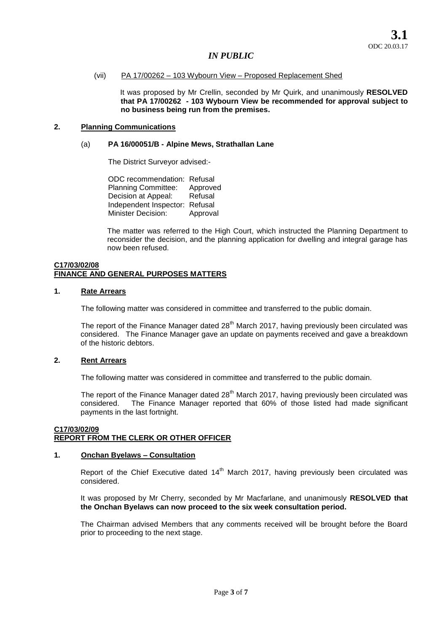#### (vii) PA 17/00262 – 103 Wybourn View – Proposed Replacement Shed

It was proposed by Mr Crellin, seconded by Mr Quirk, and unanimously **RESOLVED that PA 17/00262 - 103 Wybourn View be recommended for approval subject to no business being run from the premises.** 

## **2. Planning Communications**

## (a) **PA 16/00051/B - Alpine Mews, Strathallan Lane**

The District Surveyor advised:-

ODC recommendation: Refusal Planning Committee: Approved Decision at Appeal: Refusal Independent Inspector: Refusal Minister Decision: Approval

The matter was referred to the High Court, which instructed the Planning Department to reconsider the decision, and the planning application for dwelling and integral garage has now been refused.

#### **C17/03/02/08 FINANCE AND GENERAL PURPOSES MATTERS**

### **1. Rate Arrears**

The following matter was considered in committee and transferred to the public domain.

The report of the Finance Manager dated 28<sup>th</sup> March 2017, having previously been circulated was considered. The Finance Manager gave an update on payments received and gave a breakdown of the historic debtors.

## **2. Rent Arrears**

The following matter was considered in committee and transferred to the public domain.

The report of the Finance Manager dated 28<sup>th</sup> March 2017, having previously been circulated was considered. The Finance Manager reported that 60% of those listed had made significant payments in the last fortnight.

## **C17/03/02/09 REPORT FROM THE CLERK OR OTHER OFFICER**

## **1. Onchan Byelaws – Consultation**

Report of the Chief Executive dated  $14<sup>th</sup>$  March 2017, having previously been circulated was considered.

It was proposed by Mr Cherry, seconded by Mr Macfarlane, and unanimously **RESOLVED that the Onchan Byelaws can now proceed to the six week consultation period.** 

The Chairman advised Members that any comments received will be brought before the Board prior to proceeding to the next stage.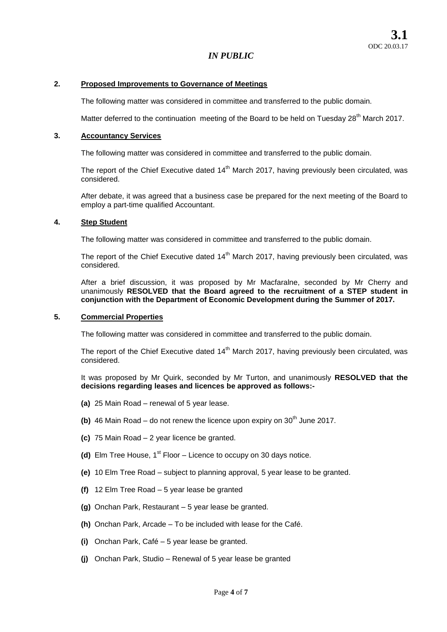### **2. Proposed Improvements to Governance of Meetings**

The following matter was considered in committee and transferred to the public domain.

Matter deferred to the continuation meeting of the Board to be held on Tuesday  $28<sup>th</sup>$  March 2017.

## **3. Accountancy Services**

The following matter was considered in committee and transferred to the public domain.

The report of the Chief Executive dated  $14<sup>th</sup>$  March 2017, having previously been circulated, was considered.

After debate, it was agreed that a business case be prepared for the next meeting of the Board to employ a part-time qualified Accountant.

### **4. Step Student**

The following matter was considered in committee and transferred to the public domain.

The report of the Chief Executive dated  $14<sup>th</sup>$  March 2017, having previously been circulated, was considered.

After a brief discussion, it was proposed by Mr Macfaralne, seconded by Mr Cherry and unanimously **RESOLVED that the Board agreed to the recruitment of a STEP student in conjunction with the Department of Economic Development during the Summer of 2017.** 

### **5. Commercial Properties**

The following matter was considered in committee and transferred to the public domain.

The report of the Chief Executive dated  $14<sup>th</sup>$  March 2017, having previously been circulated, was considered.

It was proposed by Mr Quirk, seconded by Mr Turton, and unanimously **RESOLVED that the decisions regarding leases and licences be approved as follows:-**

- **(a)** 25 Main Road renewal of 5 year lease.
- **(b)** 46 Main Road do not renew the licence upon expiry on  $30<sup>th</sup>$  June 2017.
- **(c)** 75 Main Road 2 year licence be granted.
- (d) Elm Tree House,  $1<sup>st</sup>$  Floor Licence to occupy on 30 days notice.
- **(e)** 10 Elm Tree Road subject to planning approval, 5 year lease to be granted.
- **(f)** 12 Elm Tree Road 5 year lease be granted
- **(g)** Onchan Park, Restaurant 5 year lease be granted.
- **(h)** Onchan Park, Arcade To be included with lease for the Café.
- **(i)** Onchan Park, Café 5 year lease be granted.
- **(j)** Onchan Park, Studio Renewal of 5 year lease be granted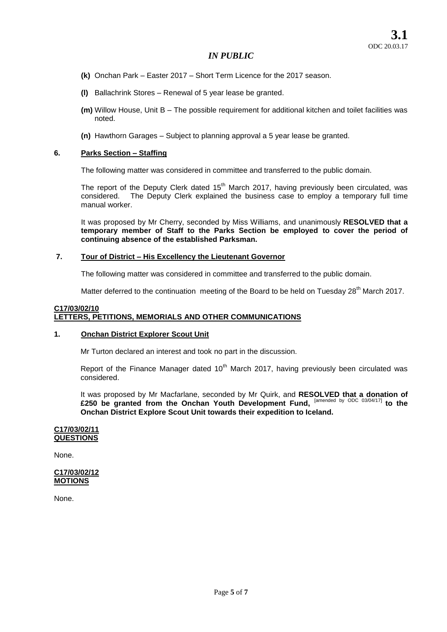- **(k)** Onchan Park Easter 2017 Short Term Licence for the 2017 season.
- **(l)** Ballachrink Stores Renewal of 5 year lease be granted.
- **(m)** Willow House, Unit B The possible requirement for additional kitchen and toilet facilities was noted.
- **(n)** Hawthorn Garages Subject to planning approval a 5 year lease be granted.

## **6. Parks Section – Staffing**

The following matter was considered in committee and transferred to the public domain.

The report of the Deputy Clerk dated 15<sup>th</sup> March 2017, having previously been circulated, was considered. The Deputy Clerk explained the business case to employ a temporary full time manual worker.

It was proposed by Mr Cherry, seconded by Miss Williams, and unanimously **RESOLVED that a temporary member of Staff to the Parks Section be employed to cover the period of continuing absence of the established Parksman.** 

### **7. Tour of District – His Excellency the Lieutenant Governor**

The following matter was considered in committee and transferred to the public domain.

Matter deferred to the continuation meeting of the Board to be held on Tuesday  $28<sup>th</sup>$  March 2017.

#### **C17/03/02/10 LETTERS, PETITIONS, MEMORIALS AND OTHER COMMUNICATIONS**

## **1. Onchan District Explorer Scout Unit**

Mr Turton declared an interest and took no part in the discussion.

Report of the Finance Manager dated  $10<sup>th</sup>$  March 2017, having previously been circulated was considered.

It was proposed by Mr Macfarlane, seconded by Mr Quirk, and **RESOLVED that a donation of £250 be granted from the Onchan Youth Development Fund,** [amended by ODC 03/04/17] **to the Onchan District Explore Scout Unit towards their expedition to Iceland.** 

#### **C17/03/02/11 QUESTIONS**

None.

### **C17/03/02/12 MOTIONS**

None.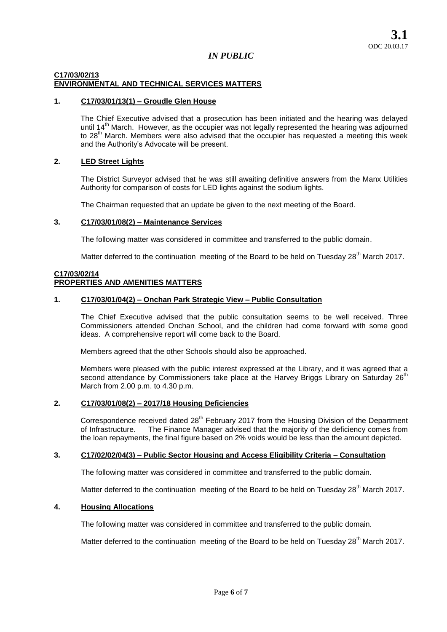#### **C17/03/02/13 ENVIRONMENTAL AND TECHNICAL SERVICES MATTERS**

## **1. C17/03/01/13(1) – Groudle Glen House**

The Chief Executive advised that a prosecution has been initiated and the hearing was delayed until 14<sup>th</sup> March. However, as the occupier was not legally represented the hearing was adjourned to 28<sup>th</sup> March. Members were also advised that the occupier has requested a meeting this week and the Authority's Advocate will be present.

## **2. LED Street Lights**

The District Surveyor advised that he was still awaiting definitive answers from the Manx Utilities Authority for comparison of costs for LED lights against the sodium lights.

The Chairman requested that an update be given to the next meeting of the Board.

### **3. C17/03/01/08(2) – Maintenance Services**

The following matter was considered in committee and transferred to the public domain.

Matter deferred to the continuation meeting of the Board to be held on Tuesday  $28<sup>th</sup>$  March 2017.

## **C17/03/02/14 PROPERTIES AND AMENITIES MATTERS**

### **1. C17/03/01/04(2) – Onchan Park Strategic View – Public Consultation**

The Chief Executive advised that the public consultation seems to be well received. Three Commissioners attended Onchan School, and the children had come forward with some good ideas. A comprehensive report will come back to the Board.

Members agreed that the other Schools should also be approached.

Members were pleased with the public interest expressed at the Library, and it was agreed that a second attendance by Commissioners take place at the Harvey Briggs Library on Saturday 26<sup>th</sup> March from 2.00 p.m. to 4.30 p.m.

# **2. C17/03/01/08(2) – 2017/18 Housing Deficiencies**

Correspondence received dated 28<sup>th</sup> February 2017 from the Housing Division of the Department of Infrastructure. The Finance Manager advised that the majority of the deficiency comes from the loan repayments, the final figure based on 2% voids would be less than the amount depicted.

## **3. C17/02/02/04(3) – Public Sector Housing and Access Eligibility Criteria – Consultation**

The following matter was considered in committee and transferred to the public domain.

Matter deferred to the continuation meeting of the Board to be held on Tuesday  $28<sup>th</sup>$  March 2017.

## **4. Housing Allocations**

The following matter was considered in committee and transferred to the public domain.

Matter deferred to the continuation meeting of the Board to be held on Tuesday  $28<sup>th</sup>$  March 2017.